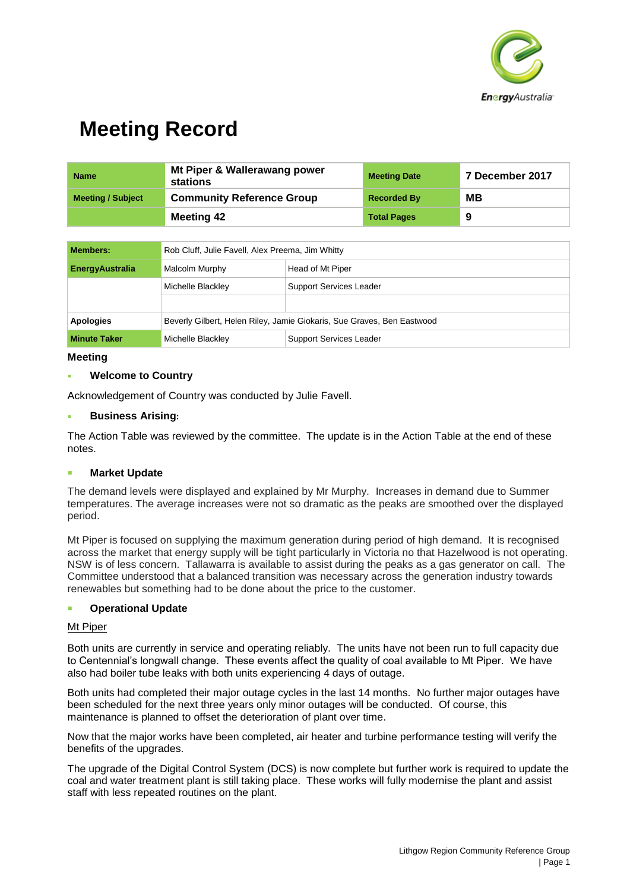

| <b>Name</b>              | Mt Piper & Wallerawang power<br>stations | <b>Meeting Date</b> | 7 December 2017 |
|--------------------------|------------------------------------------|---------------------|-----------------|
| <b>Meeting / Subject</b> | <b>Community Reference Group</b>         | <b>Recorded By</b>  | MВ              |
|                          | <b>Meeting 42</b>                        | <b>Total Pages</b>  | 9               |

| Members:               | Rob Cluff, Julie Favell, Alex Preema, Jim Whitty                       |                                |  |
|------------------------|------------------------------------------------------------------------|--------------------------------|--|
| <b>EnergyAustralia</b> | Malcolm Murphy<br>Head of Mt Piper                                     |                                |  |
|                        | Michelle Blackley                                                      | <b>Support Services Leader</b> |  |
|                        |                                                                        |                                |  |
| <b>Apologies</b>       | Beverly Gilbert, Helen Riley, Jamie Giokaris, Sue Graves, Ben Eastwood |                                |  |
| <b>Minute Taker</b>    | Michelle Blackley                                                      | <b>Support Services Leader</b> |  |

## **Meeting**

## **Welcome to Country**

Acknowledgement of Country was conducted by Julie Favell.

#### **Business Arising:**

The Action Table was reviewed by the committee. The update is in the Action Table at the end of these notes.

## **Market Update**

The demand levels were displayed and explained by Mr Murphy. Increases in demand due to Summer temperatures. The average increases were not so dramatic as the peaks are smoothed over the displayed period.

Mt Piper is focused on supplying the maximum generation during period of high demand. It is recognised across the market that energy supply will be tight particularly in Victoria no that Hazelwood is not operating. NSW is of less concern. Tallawarra is available to assist during the peaks as a gas generator on call. The Committee understood that a balanced transition was necessary across the generation industry towards renewables but something had to be done about the price to the customer.

#### **Operational Update**

#### Mt Piper

Both units are currently in service and operating reliably. The units have not been run to full capacity due to Centennial's longwall change. These events affect the quality of coal available to Mt Piper. We have also had boiler tube leaks with both units experiencing 4 days of outage.

Both units had completed their major outage cycles in the last 14 months. No further major outages have been scheduled for the next three years only minor outages will be conducted. Of course, this maintenance is planned to offset the deterioration of plant over time.

Now that the major works have been completed, air heater and turbine performance testing will verify the benefits of the upgrades.

The upgrade of the Digital Control System (DCS) is now complete but further work is required to update the coal and water treatment plant is still taking place. These works will fully modernise the plant and assist staff with less repeated routines on the plant.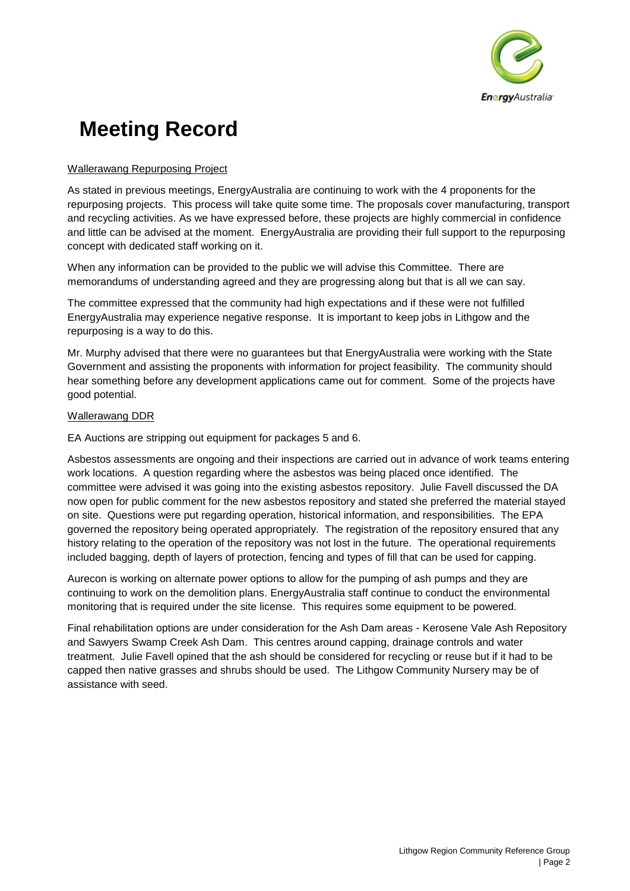

# Wallerawang Repurposing Project

As stated in previous meetings, EnergyAustralia are continuing to work with the 4 proponents for the repurposing projects. This process will take quite some time. The proposals cover manufacturing, transport and recycling activities. As we have expressed before, these projects are highly commercial in confidence and little can be advised at the moment. EnergyAustralia are providing their full support to the repurposing concept with dedicated staff working on it.

When any information can be provided to the public we will advise this Committee. There are memorandums of understanding agreed and they are progressing along but that is all we can say.

The committee expressed that the community had high expectations and if these were not fulfilled EnergyAustralia may experience negative response. It is important to keep jobs in Lithgow and the repurposing is a way to do this.

Mr. Murphy advised that there were no guarantees but that EnergyAustralia were working with the State Government and assisting the proponents with information for project feasibility. The community should hear something before any development applications came out for comment. Some of the projects have good potential.

# Wallerawang DDR

EA Auctions are stripping out equipment for packages 5 and 6.

Asbestos assessments are ongoing and their inspections are carried out in advance of work teams entering work locations. A question regarding where the asbestos was being placed once identified. The committee were advised it was going into the existing asbestos repository. Julie Favell discussed the DA now open for public comment for the new asbestos repository and stated she preferred the material stayed on site. Questions were put regarding operation, historical information, and responsibilities. The EPA governed the repository being operated appropriately. The registration of the repository ensured that any history relating to the operation of the repository was not lost in the future. The operational requirements included bagging, depth of layers of protection, fencing and types of fill that can be used for capping.

Aurecon is working on alternate power options to allow for the pumping of ash pumps and they are continuing to work on the demolition plans. EnergyAustralia staff continue to conduct the environmental monitoring that is required under the site license. This requires some equipment to be powered.

Final rehabilitation options are under consideration for the Ash Dam areas - Kerosene Vale Ash Repository and Sawyers Swamp Creek Ash Dam. This centres around capping, drainage controls and water treatment. Julie Favell opined that the ash should be considered for recycling or reuse but if it had to be capped then native grasses and shrubs should be used. The Lithgow Community Nursery may be of assistance with seed.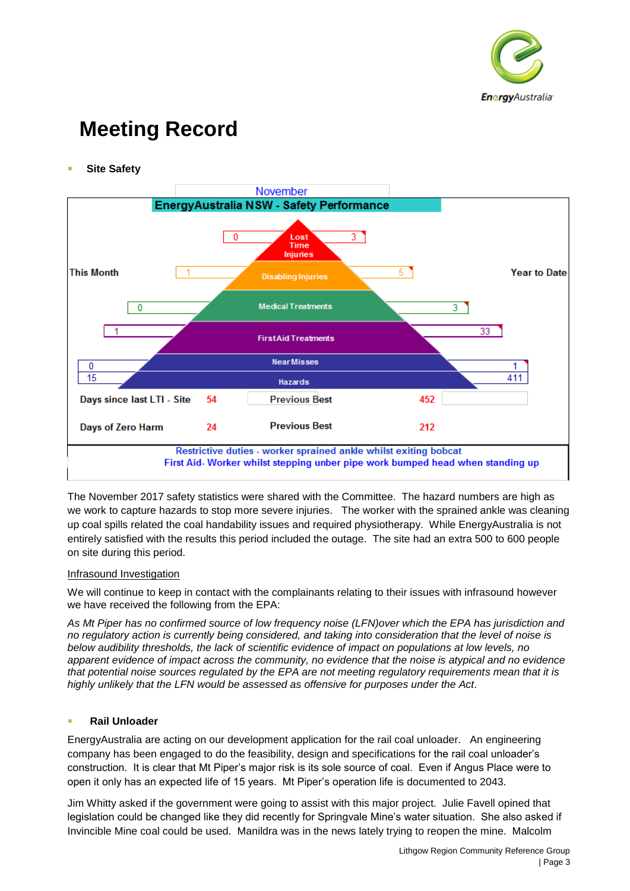

**Site Safety** 



The November 2017 safety statistics were shared with the Committee. The hazard numbers are high as we work to capture hazards to stop more severe injuries. The worker with the sprained ankle was cleaning up coal spills related the coal handability issues and required physiotherapy. While EnergyAustralia is not entirely satisfied with the results this period included the outage. The site had an extra 500 to 600 people on site during this period.

## Infrasound Investigation

We will continue to keep in contact with the complainants relating to their issues with infrasound however we have received the following from the EPA:

*As Mt Piper has no confirmed source of low frequency noise (LFN)over which the EPA has jurisdiction and no regulatory action is currently being considered, and taking into consideration that the level of noise is below audibility thresholds, the lack of scientific evidence of impact on populations at low levels, no apparent evidence of impact across the community, no evidence that the noise is atypical and no evidence that potential noise sources regulated by the EPA are not meeting regulatory requirements mean that it is highly unlikely that the LFN would be assessed as offensive for purposes under the Act.*

## ■ **Rail Unloader**

EnergyAustralia are acting on our development application for the rail coal unloader. An engineering company has been engaged to do the feasibility, design and specifications for the rail coal unloader's construction. It is clear that Mt Piper's major risk is its sole source of coal. Even if Angus Place were to open it only has an expected life of 15 years. Mt Piper's operation life is documented to 2043.

Jim Whitty asked if the government were going to assist with this major project. Julie Favell opined that legislation could be changed like they did recently for Springvale Mine's water situation. She also asked if Invincible Mine coal could be used. Manildra was in the news lately trying to reopen the mine. Malcolm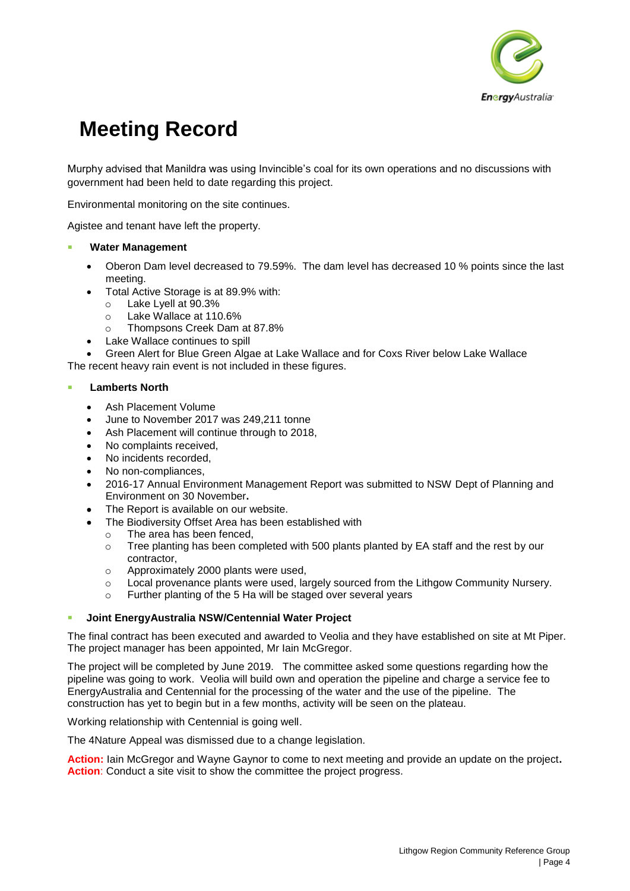

Murphy advised that Manildra was using Invincible's coal for its own operations and no discussions with government had been held to date regarding this project.

Environmental monitoring on the site continues.

Agistee and tenant have left the property.

- **Water Management** 
	- Oberon Dam level decreased to 79.59%. The dam level has decreased 10 % points since the last meeting.
	- Total Active Storage is at 89.9% with:
		- o Lake Lyell at 90.3%
		- o Lake Wallace at 110.6%
		- o Thompsons Creek Dam at 87.8%
	- Lake Wallace continues to spill

• Green Alert for Blue Green Algae at Lake Wallace and for Coxs River below Lake Wallace The recent heavy rain event is not included in these figures.

#### ▪ **Lamberts North**

- Ash Placement Volume
- June to November 2017 was 249,211 tonne
- Ash Placement will continue through to 2018,
- No complaints received,
- No incidents recorded,
- No non-compliances,
- 2016-17 Annual Environment Management Report was submitted to NSW Dept of Planning and Environment on 30 November**.**
- The Report is available on our website.
- The Biodiversity Offset Area has been established with
	- o The area has been fenced,
	- $\circ$  Tree planting has been completed with 500 plants planted by EA staff and the rest by our contractor,
	- o Approximately 2000 plants were used,
	- o Local provenance plants were used, largely sourced from the Lithgow Community Nursery.
	- o Further planting of the 5 Ha will be staged over several years

#### ▪ **Joint EnergyAustralia NSW/Centennial Water Project**

The final contract has been executed and awarded to Veolia and they have established on site at Mt Piper. The project manager has been appointed, Mr Iain McGregor.

The project will be completed by June 2019. The committee asked some questions regarding how the pipeline was going to work. Veolia will build own and operation the pipeline and charge a service fee to EnergyAustralia and Centennial for the processing of the water and the use of the pipeline. The construction has yet to begin but in a few months, activity will be seen on the plateau.

Working relationship with Centennial is going well.

The 4Nature Appeal was dismissed due to a change legislation.

**Action:** Iain McGregor and Wayne Gaynor to come to next meeting and provide an update on the project**. Action:** Conduct a site visit to show the committee the project progress.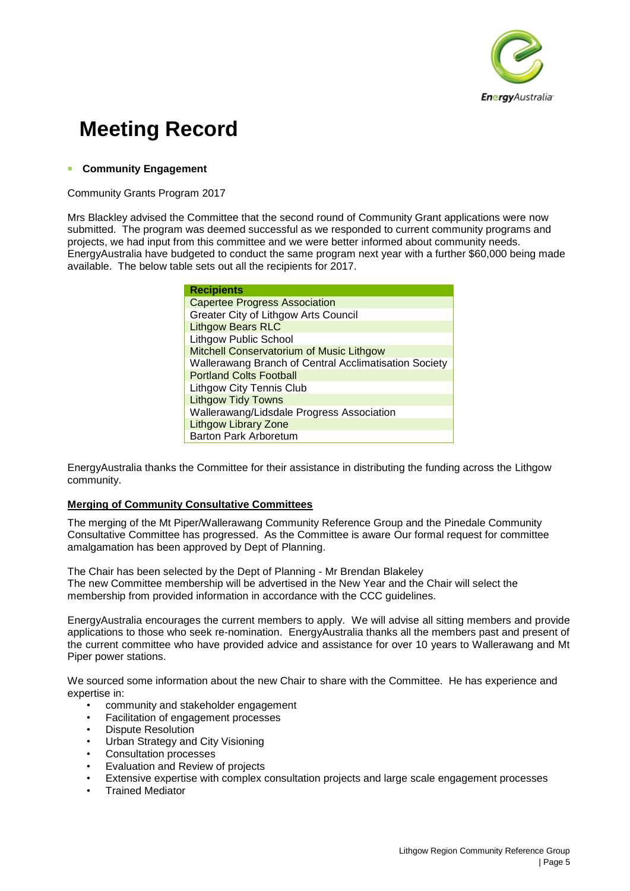

# ▪ **Community Engagement**

Community Grants Program 2017

Mrs Blackley advised the Committee that the second round of Community Grant applications were now submitted. The program was deemed successful as we responded to current community programs and projects, we had input from this committee and we were better informed about community needs. EnergyAustralia have budgeted to conduct the same program next year with a further \$60,000 being made available. The below table sets out all the recipients for 2017.

| <b>Recipients</b>                                     |  |  |  |  |
|-------------------------------------------------------|--|--|--|--|
| <b>Capertee Progress Association</b>                  |  |  |  |  |
| Greater City of Lithgow Arts Council                  |  |  |  |  |
| <b>Lithgow Bears RLC</b>                              |  |  |  |  |
| <b>Lithgow Public School</b>                          |  |  |  |  |
| Mitchell Conservatorium of Music Lithgow              |  |  |  |  |
| Wallerawang Branch of Central Acclimatisation Society |  |  |  |  |
| <b>Portland Colts Football</b>                        |  |  |  |  |
| <b>Lithgow City Tennis Club</b>                       |  |  |  |  |
| <b>Lithgow Tidy Towns</b>                             |  |  |  |  |
| Wallerawang/Lidsdale Progress Association             |  |  |  |  |
| <b>Lithgow Library Zone</b>                           |  |  |  |  |
| <b>Barton Park Arboretum</b>                          |  |  |  |  |

EnergyAustralia thanks the Committee for their assistance in distributing the funding across the Lithgow community.

## **Merging of Community Consultative Committees**

The merging of the Mt Piper/Wallerawang Community Reference Group and the Pinedale Community Consultative Committee has progressed. As the Committee is aware Our formal request for committee amalgamation has been approved by Dept of Planning.

The Chair has been selected by the Dept of Planning - Mr Brendan Blakeley The new Committee membership will be advertised in the New Year and the Chair will select the membership from provided information in accordance with the CCC guidelines.

EnergyAustralia encourages the current members to apply. We will advise all sitting members and provide applications to those who seek re-nomination. EnergyAustralia thanks all the members past and present of the current committee who have provided advice and assistance for over 10 years to Wallerawang and Mt Piper power stations.

We sourced some information about the new Chair to share with the Committee. He has experience and expertise in:

- community and stakeholder engagement
- Facilitation of engagement processes
- Dispute Resolution
- Urban Strategy and City Visioning
- Consultation processes
- Evaluation and Review of projects
- Extensive expertise with complex consultation projects and large scale engagement processes
- Trained Mediator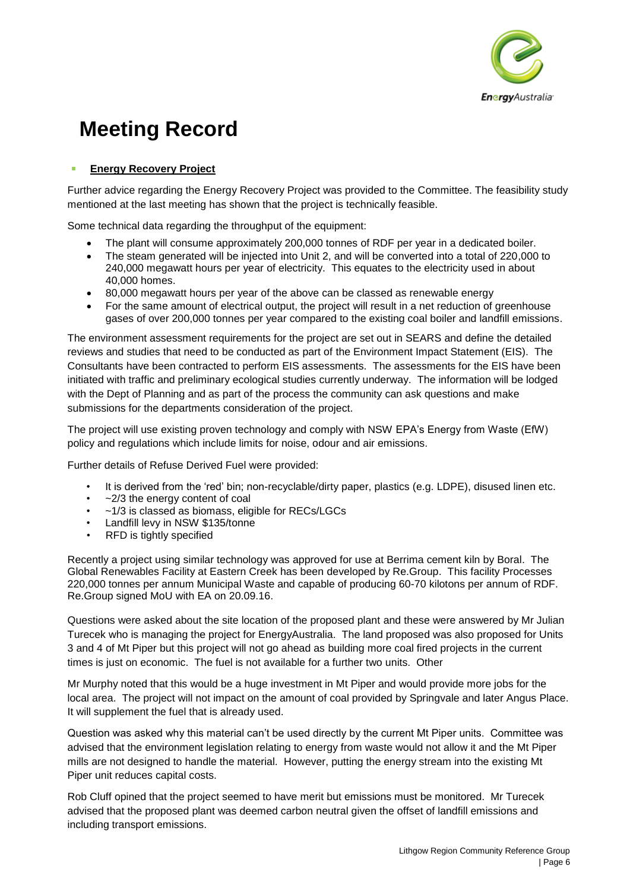

# **Energy Recovery Project**

Further advice regarding the Energy Recovery Project was provided to the Committee. The feasibility study mentioned at the last meeting has shown that the project is technically feasible.

Some technical data regarding the throughput of the equipment:

- The plant will consume approximately 200,000 tonnes of RDF per year in a dedicated boiler.
- The steam generated will be injected into Unit 2, and will be converted into a total of 220,000 to 240,000 megawatt hours per year of electricity. This equates to the electricity used in about 40,000 homes.
- 80,000 megawatt hours per year of the above can be classed as renewable energy
- For the same amount of electrical output, the project will result in a net reduction of greenhouse gases of over 200,000 tonnes per year compared to the existing coal boiler and landfill emissions.

The environment assessment requirements for the project are set out in SEARS and define the detailed reviews and studies that need to be conducted as part of the Environment Impact Statement (EIS). The Consultants have been contracted to perform EIS assessments. The assessments for the EIS have been initiated with traffic and preliminary ecological studies currently underway. The information will be lodged with the Dept of Planning and as part of the process the community can ask questions and make submissions for the departments consideration of the project.

The project will use existing proven technology and comply with NSW EPA's Energy from Waste (EfW) policy and regulations which include limits for noise, odour and air emissions.

Further details of Refuse Derived Fuel were provided:

- It is derived from the 'red' bin; non-recyclable/dirty paper, plastics (e.g. LDPE), disused linen etc.
- $\sim$ 2/3 the energy content of coal
- $-1/3$  is classed as biomass, eligible for RECs/LGCs
- Landfill levy in NSW \$135/tonne
- RFD is tightly specified

Recently a project using similar technology was approved for use at Berrima cement kiln by Boral. The Global Renewables Facility at Eastern Creek has been developed by Re.Group. This facility Processes 220,000 tonnes per annum Municipal Waste and capable of producing 60-70 kilotons per annum of RDF. Re.Group signed MoU with EA on 20.09.16.

Questions were asked about the site location of the proposed plant and these were answered by Mr Julian Turecek who is managing the project for EnergyAustralia. The land proposed was also proposed for Units 3 and 4 of Mt Piper but this project will not go ahead as building more coal fired projects in the current times is just on economic. The fuel is not available for a further two units. Other

Mr Murphy noted that this would be a huge investment in Mt Piper and would provide more jobs for the local area. The project will not impact on the amount of coal provided by Springvale and later Angus Place. It will supplement the fuel that is already used.

Question was asked why this material can't be used directly by the current Mt Piper units. Committee was advised that the environment legislation relating to energy from waste would not allow it and the Mt Piper mills are not designed to handle the material. However, putting the energy stream into the existing Mt Piper unit reduces capital costs.

Rob Cluff opined that the project seemed to have merit but emissions must be monitored. Mr Turecek advised that the proposed plant was deemed carbon neutral given the offset of landfill emissions and including transport emissions.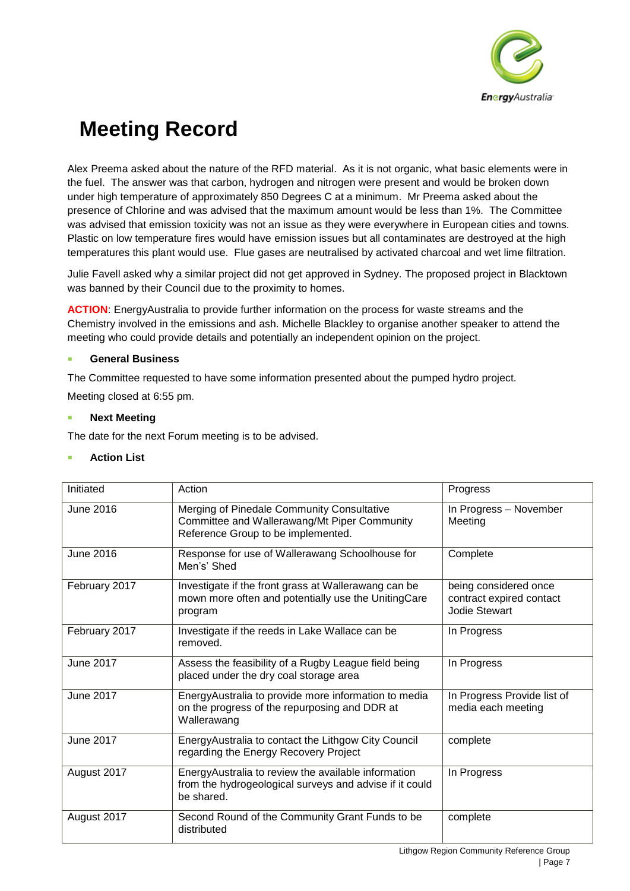

Alex Preema asked about the nature of the RFD material. As it is not organic, what basic elements were in the fuel. The answer was that carbon, hydrogen and nitrogen were present and would be broken down under high temperature of approximately 850 Degrees C at a minimum. Mr Preema asked about the presence of Chlorine and was advised that the maximum amount would be less than 1%. The Committee was advised that emission toxicity was not an issue as they were everywhere in European cities and towns. Plastic on low temperature fires would have emission issues but all contaminates are destroyed at the high temperatures this plant would use. Flue gases are neutralised by activated charcoal and wet lime filtration.

Julie Favell asked why a similar project did not get approved in Sydney. The proposed project in Blacktown was banned by their Council due to the proximity to homes.

**ACTION**: EnergyAustralia to provide further information on the process for waste streams and the Chemistry involved in the emissions and ash. Michelle Blackley to organise another speaker to attend the meeting who could provide details and potentially an independent opinion on the project.

# ▪ **General Business**

The Committee requested to have some information presented about the pumped hydro project.

Meeting closed at 6:55 pm.

## **Next Meeting**

The date for the next Forum meeting is to be advised.

## **Action List**

| Initiated        | Action                                                                                                                           | Progress                                                                  |
|------------------|----------------------------------------------------------------------------------------------------------------------------------|---------------------------------------------------------------------------|
| <b>June 2016</b> | Merging of Pinedale Community Consultative<br>Committee and Wallerawang/Mt Piper Community<br>Reference Group to be implemented. | In Progress - November<br>Meeting                                         |
| <b>June 2016</b> | Response for use of Wallerawang Schoolhouse for<br>Men's' Shed                                                                   | Complete                                                                  |
| February 2017    | Investigate if the front grass at Wallerawang can be<br>mown more often and potentially use the UnitingCare<br>program           | being considered once<br>contract expired contact<br><b>Jodie Stewart</b> |
| February 2017    | Investigate if the reeds in Lake Wallace can be<br>removed.                                                                      | In Progress                                                               |
| <b>June 2017</b> | Assess the feasibility of a Rugby League field being<br>placed under the dry coal storage area                                   | In Progress                                                               |
| <b>June 2017</b> | EnergyAustralia to provide more information to media<br>on the progress of the repurposing and DDR at<br>Wallerawang             | In Progress Provide list of<br>media each meeting                         |
| <b>June 2017</b> | EnergyAustralia to contact the Lithgow City Council<br>regarding the Energy Recovery Project                                     | complete                                                                  |
| August 2017      | EnergyAustralia to review the available information<br>from the hydrogeological surveys and advise if it could<br>be shared.     | In Progress                                                               |
| August 2017      | Second Round of the Community Grant Funds to be<br>distributed                                                                   | complete                                                                  |